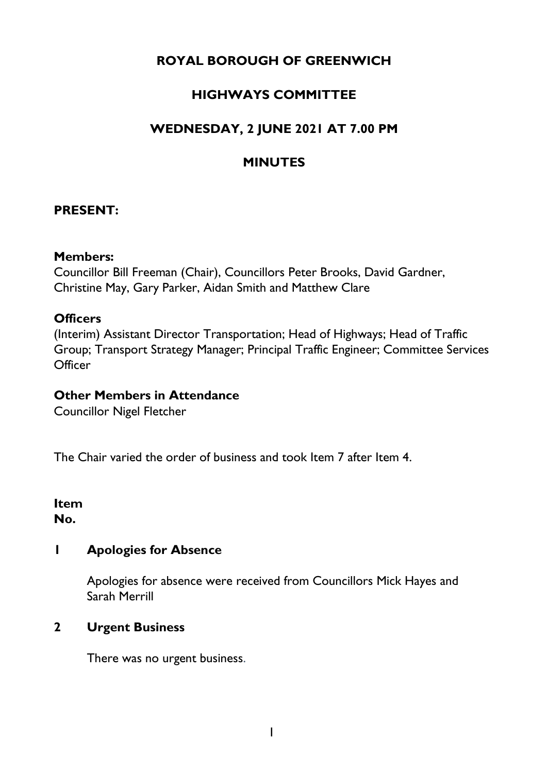# **ROYAL BOROUGH OF GREENWICH**

# **HIGHWAYS COMMITTEE**

# **WEDNESDAY, 2 JUNE 2021 AT 7.00 PM**

# **MINUTES**

### **PRESENT:**

#### **Members:**

Councillor Bill Freeman (Chair), Councillors Peter Brooks, David Gardner, Christine May, Gary Parker, Aidan Smith and Matthew Clare

# **Officers**

(Interim) Assistant Director Transportation; Head of Highways; Head of Traffic Group; Transport Strategy Manager; Principal Traffic Engineer; Committee Services **Officer** 

#### **Other Members in Attendance**

Councillor Nigel Fletcher

The Chair varied the order of business and took Item 7 after Item 4.

#### **Item No.**

# **1 Apologies for Absence**

Apologies for absence were received from Councillors Mick Hayes and Sarah Merrill

#### **2 Urgent Business**

There was no urgent business.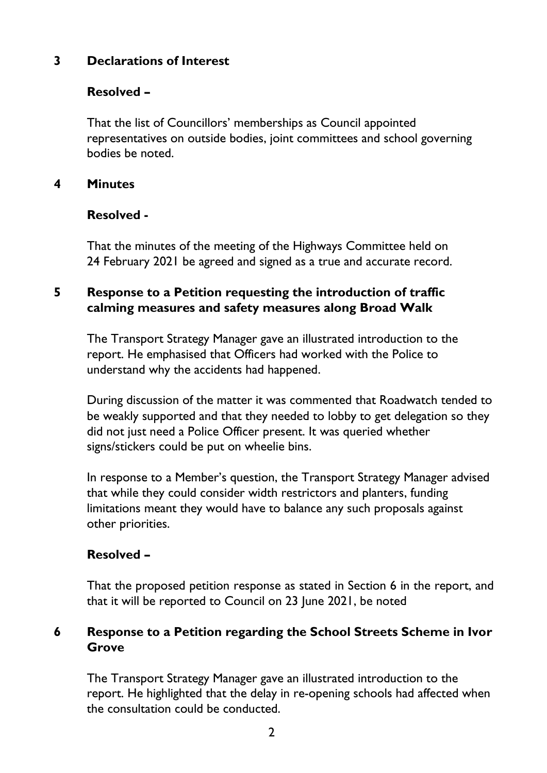# **3 Declarations of Interest**

# **Resolved –**

That the list of Councillors' memberships as Council appointed representatives on outside bodies, joint committees and school governing bodies be noted.

## **4 Minutes**

### **Resolved -**

That the minutes of the meeting of the Highways Committee held on 24 February 2021 be agreed and signed as a true and accurate record.

# **5 Response to a Petition requesting the introduction of traffic calming measures and safety measures along Broad Walk**

The Transport Strategy Manager gave an illustrated introduction to the report. He emphasised that Officers had worked with the Police to understand why the accidents had happened.

During discussion of the matter it was commented that Roadwatch tended to be weakly supported and that they needed to lobby to get delegation so they did not just need a Police Officer present. It was queried whether signs/stickers could be put on wheelie bins.

In response to a Member's question, the Transport Strategy Manager advised that while they could consider width restrictors and planters, funding limitations meant they would have to balance any such proposals against other priorities.

# **Resolved –**

That the proposed petition response as stated in Section 6 in the report, and that it will be reported to Council on 23 June 2021, be noted

# **6 Response to a Petition regarding the School Streets Scheme in Ivor Grove**

The Transport Strategy Manager gave an illustrated introduction to the report. He highlighted that the delay in re-opening schools had affected when the consultation could be conducted.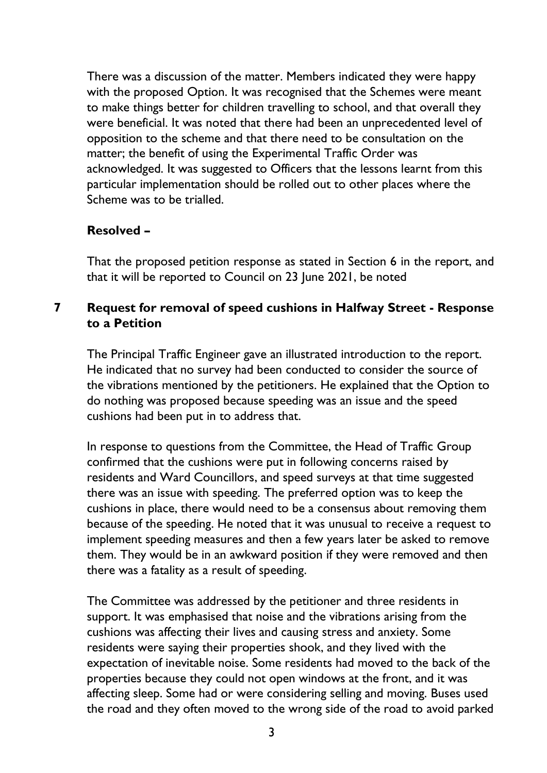There was a discussion of the matter. Members indicated they were happy with the proposed Option. It was recognised that the Schemes were meant to make things better for children travelling to school, and that overall they were beneficial. It was noted that there had been an unprecedented level of opposition to the scheme and that there need to be consultation on the matter; the benefit of using the Experimental Traffic Order was acknowledged. It was suggested to Officers that the lessons learnt from this particular implementation should be rolled out to other places where the Scheme was to be trialled.

# **Resolved –**

That the proposed petition response as stated in Section 6 in the report, and that it will be reported to Council on 23 June 2021, be noted

# **7 Request for removal of speed cushions in Halfway Street - Response to a Petition**

The Principal Traffic Engineer gave an illustrated introduction to the report. He indicated that no survey had been conducted to consider the source of the vibrations mentioned by the petitioners. He explained that the Option to do nothing was proposed because speeding was an issue and the speed cushions had been put in to address that.

In response to questions from the Committee, the Head of Traffic Group confirmed that the cushions were put in following concerns raised by residents and Ward Councillors, and speed surveys at that time suggested there was an issue with speeding. The preferred option was to keep the cushions in place, there would need to be a consensus about removing them because of the speeding. He noted that it was unusual to receive a request to implement speeding measures and then a few years later be asked to remove them. They would be in an awkward position if they were removed and then there was a fatality as a result of speeding.

The Committee was addressed by the petitioner and three residents in support. It was emphasised that noise and the vibrations arising from the cushions was affecting their lives and causing stress and anxiety. Some residents were saying their properties shook, and they lived with the expectation of inevitable noise. Some residents had moved to the back of the properties because they could not open windows at the front, and it was affecting sleep. Some had or were considering selling and moving. Buses used the road and they often moved to the wrong side of the road to avoid parked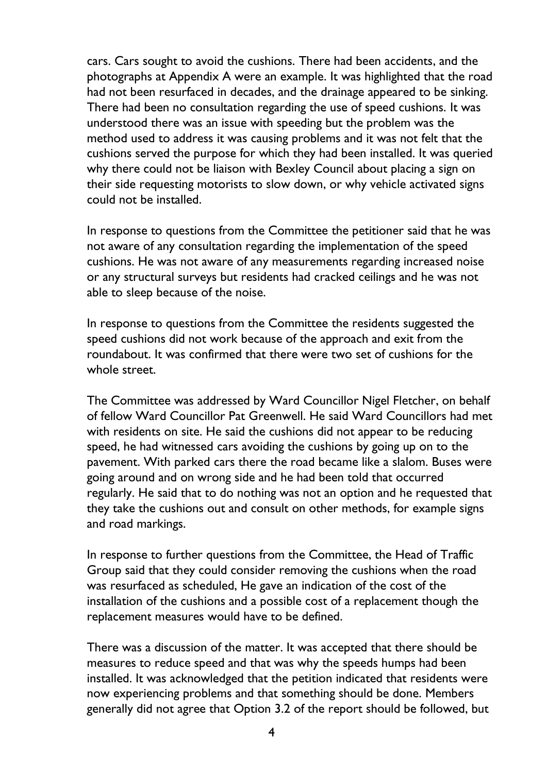cars. Cars sought to avoid the cushions. There had been accidents, and the photographs at Appendix A were an example. It was highlighted that the road had not been resurfaced in decades, and the drainage appeared to be sinking. There had been no consultation regarding the use of speed cushions. It was understood there was an issue with speeding but the problem was the method used to address it was causing problems and it was not felt that the cushions served the purpose for which they had been installed. It was queried why there could not be liaison with Bexley Council about placing a sign on their side requesting motorists to slow down, or why vehicle activated signs could not be installed.

In response to questions from the Committee the petitioner said that he was not aware of any consultation regarding the implementation of the speed cushions. He was not aware of any measurements regarding increased noise or any structural surveys but residents had cracked ceilings and he was not able to sleep because of the noise.

In response to questions from the Committee the residents suggested the speed cushions did not work because of the approach and exit from the roundabout. It was confirmed that there were two set of cushions for the whole street.

The Committee was addressed by Ward Councillor Nigel Fletcher, on behalf of fellow Ward Councillor Pat Greenwell. He said Ward Councillors had met with residents on site. He said the cushions did not appear to be reducing speed, he had witnessed cars avoiding the cushions by going up on to the pavement. With parked cars there the road became like a slalom. Buses were going around and on wrong side and he had been told that occurred regularly. He said that to do nothing was not an option and he requested that they take the cushions out and consult on other methods, for example signs and road markings.

In response to further questions from the Committee, the Head of Traffic Group said that they could consider removing the cushions when the road was resurfaced as scheduled, He gave an indication of the cost of the installation of the cushions and a possible cost of a replacement though the replacement measures would have to be defined.

There was a discussion of the matter. It was accepted that there should be measures to reduce speed and that was why the speeds humps had been installed. It was acknowledged that the petition indicated that residents were now experiencing problems and that something should be done. Members generally did not agree that Option 3.2 of the report should be followed, but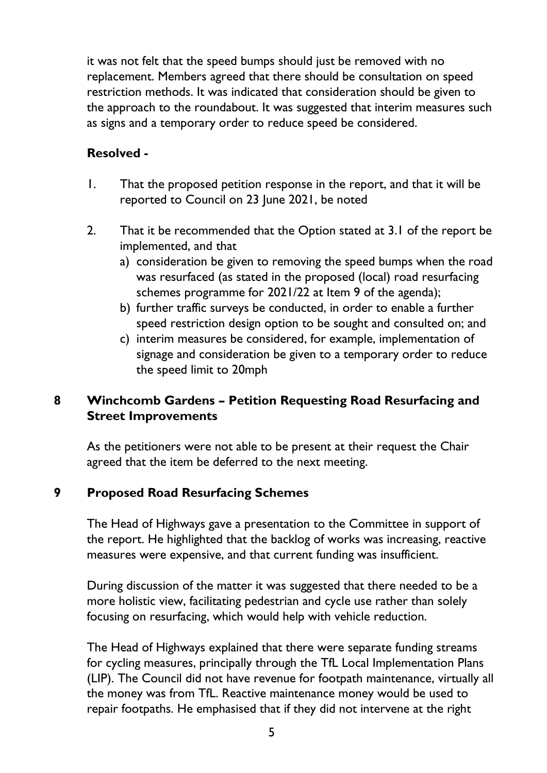it was not felt that the speed bumps should just be removed with no replacement. Members agreed that there should be consultation on speed restriction methods. It was indicated that consideration should be given to the approach to the roundabout. It was suggested that interim measures such as signs and a temporary order to reduce speed be considered.

# **Resolved -**

- 1. That the proposed petition response in the report, and that it will be reported to Council on 23 June 2021, be noted
- 2. That it be recommended that the Option stated at 3.1 of the report be implemented, and that
	- a) consideration be given to removing the speed bumps when the road was resurfaced (as stated in the proposed (local) road resurfacing schemes programme for 2021/22 at Item 9 of the agenda);
	- b) further traffic surveys be conducted, in order to enable a further speed restriction design option to be sought and consulted on; and
	- c) interim measures be considered, for example, implementation of signage and consideration be given to a temporary order to reduce the speed limit to 20mph

# **8 Winchcomb Gardens – Petition Requesting Road Resurfacing and Street Improvements**

As the petitioners were not able to be present at their request the Chair agreed that the item be deferred to the next meeting.

# **9 Proposed Road Resurfacing Schemes**

The Head of Highways gave a presentation to the Committee in support of the report. He highlighted that the backlog of works was increasing, reactive measures were expensive, and that current funding was insufficient.

During discussion of the matter it was suggested that there needed to be a more holistic view, facilitating pedestrian and cycle use rather than solely focusing on resurfacing, which would help with vehicle reduction.

The Head of Highways explained that there were separate funding streams for cycling measures, principally through the TfL Local Implementation Plans (LIP). The Council did not have revenue for footpath maintenance, virtually all the money was from TfL. Reactive maintenance money would be used to repair footpaths. He emphasised that if they did not intervene at the right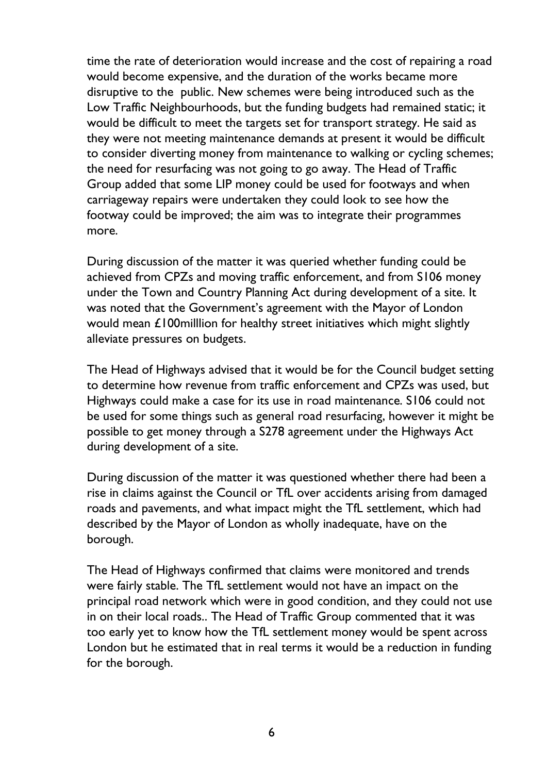time the rate of deterioration would increase and the cost of repairing a road would become expensive, and the duration of the works became more disruptive to the public. New schemes were being introduced such as the Low Traffic Neighbourhoods, but the funding budgets had remained static; it would be difficult to meet the targets set for transport strategy. He said as they were not meeting maintenance demands at present it would be difficult to consider diverting money from maintenance to walking or cycling schemes; the need for resurfacing was not going to go away. The Head of Traffic Group added that some LIP money could be used for footways and when carriageway repairs were undertaken they could look to see how the footway could be improved; the aim was to integrate their programmes more.

During discussion of the matter it was queried whether funding could be achieved from CPZs and moving traffic enforcement, and from S106 money under the Town and Country Planning Act during development of a site. It was noted that the Government's agreement with the Mayor of London would mean £100milllion for healthy street initiatives which might slightly alleviate pressures on budgets.

The Head of Highways advised that it would be for the Council budget setting to determine how revenue from traffic enforcement and CPZs was used, but Highways could make a case for its use in road maintenance. S106 could not be used for some things such as general road resurfacing, however it might be possible to get money through a S278 agreement under the Highways Act during development of a site.

During discussion of the matter it was questioned whether there had been a rise in claims against the Council or TfL over accidents arising from damaged roads and pavements, and what impact might the TfL settlement, which had described by the Mayor of London as wholly inadequate, have on the borough.

The Head of Highways confirmed that claims were monitored and trends were fairly stable. The TfL settlement would not have an impact on the principal road network which were in good condition, and they could not use in on their local roads.. The Head of Traffic Group commented that it was too early yet to know how the TfL settlement money would be spent across London but he estimated that in real terms it would be a reduction in funding for the borough.